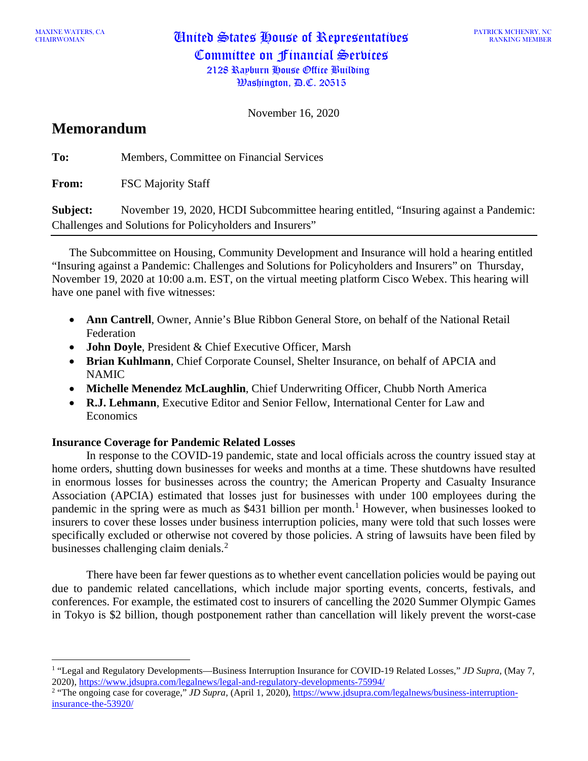CHAIRWOMAN United States House of Representatives Committee on Financial Services 2128 Rayburn House Office Building

November 16, 2020

# **Memorandum**

**To:** Members, Committee on Financial Services

**From:** FSC Majority Staff

**Subject:** November 19, 2020, HCDI Subcommittee hearing entitled, "Insuring against a Pandemic: Challenges and Solutions for Policyholders and Insurers"

The Subcommittee on Housing, Community Development and Insurance will hold a hearing entitled "Insuring against a Pandemic: Challenges and Solutions for Policyholders and Insurers" on Thursday, November 19, 2020 at 10:00 a.m. EST, on the virtual meeting platform Cisco Webex. This hearing will have one panel with five witnesses:

- **Ann Cantrell**, Owner, Annie's Blue Ribbon General Store, on behalf of the National Retail Federation
- **John Doyle**, President & Chief Executive Officer, Marsh
- **Brian Kuhlmann**, Chief Corporate Counsel, Shelter Insurance, on behalf of APCIA and NAMIC
- **Michelle Menendez McLaughlin**, Chief Underwriting Officer, Chubb North America
- **R.J. Lehmann**, Executive Editor and Senior Fellow, International Center for Law and **Economics**

## **Insurance Coverage for Pandemic Related Losses**

In response to the COVID-19 pandemic, state and local officials across the country issued stay at home orders, shutting down businesses for weeks and months at a time. These shutdowns have resulted in enormous losses for businesses across the country; the American Property and Casualty Insurance Association (APCIA) estimated that losses just for businesses with under 100 employees during the pandemic in the spring were as much as \$43[1](#page-0-0) billion per month.<sup>1</sup> However, when businesses looked to insurers to cover these losses under business interruption policies, many were told that such losses were specifically excluded or otherwise not covered by those policies. A string of lawsuits have been filed by businesses challenging claim denials.<sup>[2](#page-0-1)</sup>

There have been far fewer questions as to whether event cancellation policies would be paying out due to pandemic related cancellations, which include major sporting events, concerts, festivals, and conferences. For example, the estimated cost to insurers of cancelling the 2020 Summer Olympic Games in Tokyo is \$2 billion, though postponement rather than cancellation will likely prevent the worst-case

<span id="page-0-0"></span><sup>1</sup> "Legal and Regulatory Developments—Business Interruption Insurance for COVID-19 Related Losses," *JD Supra,* (May 7, 2020),<https://www.jdsupra.com/legalnews/legal-and-regulatory-developments-75994/>

<span id="page-0-1"></span><sup>&</sup>lt;sup>2</sup> "The ongoing case for coverage," *JD Supra*, (April 1, 2020), [https://www.jdsupra.com/legalnews/business-interruption](https://www.jdsupra.com/legalnews/business-interruption-insurance-the-53920/)[insurance-the-53920/](https://www.jdsupra.com/legalnews/business-interruption-insurance-the-53920/)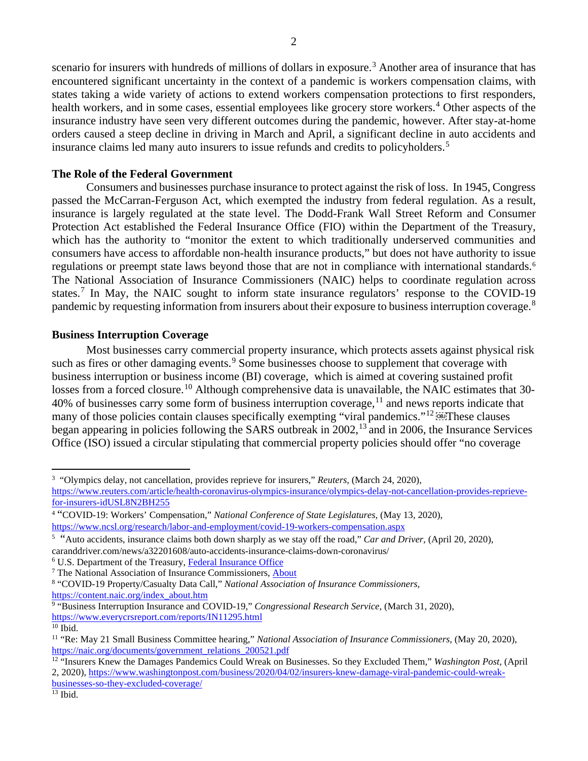scenario for insurers with hundreds of millions of dollars in exposure.<sup>[3](#page-1-0)</sup> Another area of insurance that has encountered significant uncertainty in the context of a pandemic is workers compensation claims, with states taking a wide variety of actions to extend workers compensation protections to first responders, health workers, and in some cases, essential employees like grocery store workers.<sup>[4](#page-1-1)</sup> Other aspects of the insurance industry have seen very different outcomes during the pandemic, however. After stay-at-home orders caused a steep decline in driving in March and April, a significant decline in auto accidents and insurance claims led many auto insurers to issue refunds and credits to policyholders.<sup>[5](#page-1-2)</sup>

### **The Role of the Federal Government**

Consumers and businesses purchase insurance to protect against the risk of loss. In 1945, Congress passed the McCarran-Ferguson Act, which exempted the industry from federal regulation. As a result, insurance is largely regulated at the state level. The Dodd-Frank Wall Street Reform and Consumer Protection Act established the Federal Insurance Office (FIO) within the Department of the Treasury, which has the authority to "monitor the extent to which traditionally underserved communities and consumers have access to affordable non-health insurance products," but does not have authority to issue regulations or preempt state laws beyond those that are not in compliance with international standards.<sup>[6](#page-1-3)</sup> The National Association of Insurance Commissioners (NAIC) helps to coordinate regulation across states.<sup>[7](#page-1-4)</sup> In May, the NAIC sought to inform state insurance regulators' response to the COVID-19 pandemic by requesting information from insurers about their exposure to business interruption coverage.<sup>[8](#page-1-5)</sup>

#### **Business Interruption Coverage**

Most businesses carry commercial property insurance, which protects assets against physical risk such as fires or other damaging events.<sup>[9](#page-1-6)</sup> Some businesses choose to supplement that coverage with business interruption or business income (BI) coverage, which is aimed at covering sustained profit losses from a forced closure.<sup>[10](#page-1-7)</sup> Although comprehensive data is unavailable, the NAIC estimates that 30-40% of businesses carry some form of business interruption coverage, <sup>[11](#page-1-8)</sup> and news reports indicate that many of those policies contain clauses specifically exempting "viral pandemics."<sup>[12](#page-1-9)</sup> These clauses began appearing in policies following the SARS outbreak in 2002,[13](#page-1-10) and in 2006, the Insurance Services Office (ISO) issued a circular stipulating that commercial property policies should offer "no coverage

<span id="page-1-0"></span><sup>3</sup> "Olympics delay, not cancellation, provides reprieve for insurers," *Reuters,* (March 24, 2020), [https://www.reuters.com/article/health-coronavirus-olympics-insurance/olympics-delay-not-cancellation-provides-reprieve](https://www.reuters.com/article/health-coronavirus-olympics-insurance/olympics-delay-not-cancellation-provides-reprieve-for-insurers-idUSL8N2BH255)[for-insurers-idUSL8N2BH255](https://www.reuters.com/article/health-coronavirus-olympics-insurance/olympics-delay-not-cancellation-provides-reprieve-for-insurers-idUSL8N2BH255)

<span id="page-1-1"></span><sup>4</sup> "COVID-19: Workers' Compensation," *National Conference of State Legislatures,* (May 13, 2020), <https://www.ncsl.org/research/labor-and-employment/covid-19-workers-compensation.aspx>

<span id="page-1-2"></span><sup>5</sup> "Auto accidents, insurance claims both down sharply as we stay off the road," *Car and Driver,* (April 20, 2020), caranddriver.com/news/a32201608/auto-accidents-insurance-claims-down-coronavirus/

<span id="page-1-3"></span><sup>6</sup> U.S. Department of the Treasury, [Federal Insurance Office](https://home.treasury.gov/policy-issues/financial-markets-financial-institutions-and-fiscal-service/federal-insurance-office)

<span id="page-1-4"></span><sup>7</sup> The National Association of Insurance Commissioners, [About](https://content.naic.org/index_about.htm)

<span id="page-1-5"></span><sup>8</sup> "COVID-19 Property/Casualty Data Call," *National Association of Insurance Commissioners,*  [https://content.naic.org/index\\_about.htm](https://content.naic.org/index_about.htm)

<span id="page-1-6"></span><sup>9</sup> "Business Interruption Insurance and COVID-19," *Congressional Research Service,* (March 31, 2020), <https://www.everycrsreport.com/reports/IN11295.html>

<span id="page-1-7"></span> $10$  Ibid.

<span id="page-1-8"></span><sup>&</sup>lt;sup>11</sup> "Re: May 21 Small Business Committee hearing," *National Association of Insurance Commissioners*, (May 20, 2020), [https://naic.org/documents/government\\_relations\\_200521.pdf](https://naic.org/documents/government_relations_200521.pdf)

<span id="page-1-9"></span><sup>&</sup>lt;sup>12</sup> "Insurers Knew the Damages Pandemics Could Wreak on Businesses. So they Excluded Them," *Washington Post*, (April

<sup>2, 2020),</sup> [https://www.washingtonpost.com/business/2020/04/02/insurers-knew-damage-viral-pandemic-could-wreak-](https://www.washingtonpost.com/business/2020/04/02/insurers-knew-damage-viral-pandemic-could-wreak-businesses-so-they-excluded-coverage/)

[businesses-so-they-excluded-coverage/](https://www.washingtonpost.com/business/2020/04/02/insurers-knew-damage-viral-pandemic-could-wreak-businesses-so-they-excluded-coverage/)

<span id="page-1-10"></span> $13$  Ibid.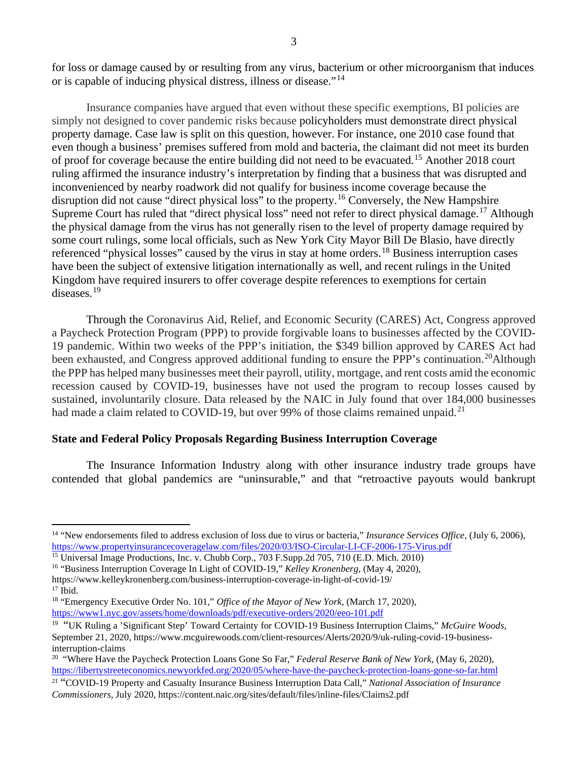for loss or damage caused by or resulting from any virus, bacterium or other microorganism that induces or is capable of inducing physical distress, illness or disease."[14](#page-2-0)

Insurance companies have argued that even without these specific exemptions, BI policies are simply not designed to cover pandemic risks because policyholders must demonstrate direct physical property damage. Case law is split on this question, however. For instance, one 2010 case found that even though a business' premises suffered from mold and bacteria, the claimant did not meet its burden of proof for coverage because the entire building did not need to be evacuated.[15](#page-2-1) Another 2018 court ruling affirmed the insurance industry's interpretation by finding that a business that was disrupted and inconvenienced by nearby roadwork did not qualify for business income coverage because the disruption did not cause "direct physical loss" to the property. [16](#page-2-2) Conversely, the New Hampshire Supreme Court has ruled that "direct physical loss" need not refer to direct physical damage.<sup>[17](#page-2-3)</sup> Although the physical damage from the virus has not generally risen to the level of property damage required by some court rulings, some local officials, such as New York City Mayor Bill De Blasio, have directly referenced "physical losses" caused by the virus in stay at home orders.<sup>[18](#page-2-4)</sup> Business interruption cases have been the subject of extensive litigation internationally as well, and recent rulings in the United Kingdom have required insurers to offer coverage despite references to exemptions for certain diseases.<sup>[19](#page-2-5)</sup>

Through the Coronavirus Aid, Relief, and Economic Security (CARES) Act, Congress approved a Paycheck Protection Program (PPP) to provide forgivable loans to businesses affected by the COVID-19 pandemic. Within two weeks of the PPP's initiation, the \$349 billion approved by CARES Act had been exhausted, and Congress approved additional funding to ensure the PPP's continuation.<sup>20</sup>Although the PPP has helped many businesses meet their payroll, utility, mortgage, and rent costs amid the economic recession caused by COVID-19, businesses have not used the program to recoup losses caused by sustained, involuntarily closure. Data released by the NAIC in July found that over 184,000 businesses had made a claim related to COVID-19, but over 99% of those claims remained unpaid.<sup>[21](#page-2-7)</sup>

#### **State and Federal Policy Proposals Regarding Business Interruption Coverage**

The Insurance Information Industry along with other insurance industry trade groups have contended that global pandemics are "uninsurable," and that "retroactive payouts would bankrupt

<span id="page-2-0"></span><sup>14</sup> "New endorsements filed to address exclusion of loss due to virus or bacteria," *Insurance Services Office,* (July 6, 2006), <https://www.propertyinsurancecoveragelaw.com/files/2020/03/ISO-Circular-LI-CF-2006-175-Virus.pdf>

<span id="page-2-1"></span><sup>15</sup> Universal Image Productions, Inc. v. Chubb Corp., 703 F.Supp.2d 705, 710 (E.D. Mich. 2010)

<span id="page-2-2"></span><sup>16</sup> "Business Interruption Coverage In Light of COVID-19," *Kelley Kronenberg,* (May 4, 2020), <https://www.kelleykronenberg.com/business-interruption-coverage-in-light-of-covid-19/>  $17$  Ibid.

<span id="page-2-4"></span><span id="page-2-3"></span><sup>&</sup>lt;sup>18</sup> "Emergency Executive Order No. 101," Office of the Mayor of New York, (March 17, 2020), <https://www1.nyc.gov/assets/home/downloads/pdf/executive-orders/2020/eeo-101.pdf>

<span id="page-2-5"></span><sup>19</sup> "UK Ruling a 'Significant Step' Toward Certainty for COVID-19 Business Interruption Claims," *McGuire Woods,*  September 21, 2020, https://www.mcguirewoods.com/client-resources/Alerts/2020/9/uk-ruling-covid-19-businessinterruption-claims

<span id="page-2-6"></span><sup>20 &</sup>quot;Where Have the Paycheck Protection Loans Gone So Far," *Federal Reserve Bank of New York,* (May 6, 2020), <https://libertystreeteconomics.newyorkfed.org/2020/05/where-have-the-paycheck-protection-loans-gone-so-far.html>

<span id="page-2-7"></span><sup>21</sup> "COVID-19 Property and Casualty Insurance Business Interruption Data Call," *National Association of Insurance Commissioners,* July 2020, https://content.naic.org/sites/default/files/inline-files/Claims2.pdf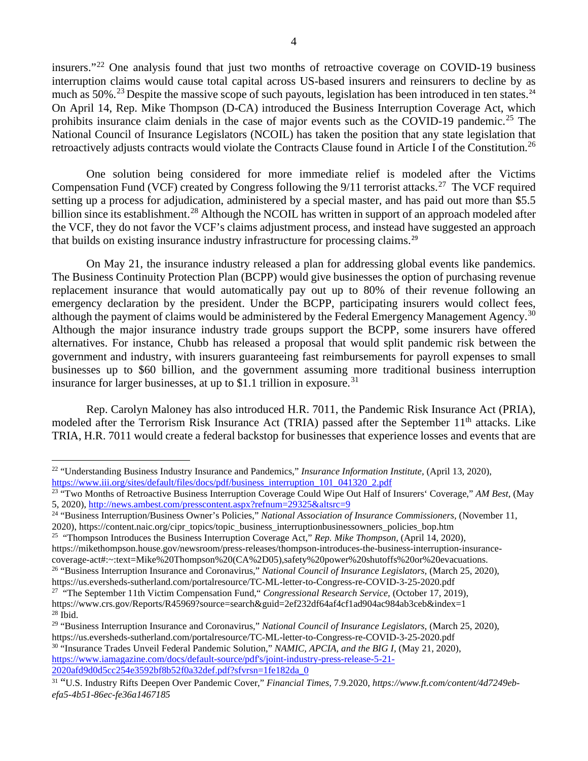insurers."[22](#page-3-0) One analysis found that just two months of retroactive coverage on COVID-19 business interruption claims would cause total capital across US-based insurers and reinsurers to decline by as much as 50%.<sup>[23](#page-3-1)</sup> Despite the massive scope of such payouts, legislation has been introduced in ten states.<sup>[24](#page-3-2)</sup> On April 14, Rep. Mike Thompson (D-CA) introduced the Business Interruption Coverage Act, which prohibits insurance claim denials in the case of major events such as the COVID-19 pandemic.<sup>[25](#page-3-3)</sup> The National Council of Insurance Legislators (NCOIL) has taken the position that any state legislation that retroactively adjusts contracts would violate the Contracts Clause found in Article I of the Constitution.<sup>[26](#page-3-4)</sup>

One solution being considered for more immediate relief is modeled after the Victims Compensation Fund (VCF) created by Congress following the  $9/11$  terrorist attacks.<sup>27</sup> The VCF required setting up a process for adjudication, administered by a special master, and has paid out more than \$5.5 billion since its establishment.<sup>[28](#page-3-6)</sup> Although the NCOIL has written in support of an approach modeled after the VCF, they do not favor the VCF's claims adjustment process, and instead have suggested an approach that builds on existing insurance industry infrastructure for processing claims.[29](#page-3-7)

On May 21, the insurance industry released a plan for addressing global events like pandemics. The Business Continuity Protection Plan (BCPP) would give businesses the option of purchasing revenue replacement insurance that would automatically pay out up to 80% of their revenue following an emergency declaration by the president. Under the BCPP, participating insurers would collect fees, although the payment of claims would be administered by the Federal Emergency Management Agency.<sup>[30](#page-3-8)</sup> Although the major insurance industry trade groups support the BCPP, some insurers have offered alternatives. For instance, Chubb has released a proposal that would split pandemic risk between the government and industry, with insurers guaranteeing fast reimbursements for payroll expenses to small businesses up to \$60 billion, and the government assuming more traditional business interruption insurance for larger businesses, at up to \$1.1 trillion in exposure.<sup>[31](#page-3-9)</sup>

Rep. Carolyn Maloney has also introduced H.R. 7011, the Pandemic Risk Insurance Act (PRIA), modeled after the Terrorism Risk Insurance Act (TRIA) passed after the September  $11<sup>th</sup>$  attacks. Like TRIA, H.R. 7011 would create a federal backstop for businesses that experience losses and events that are

<span id="page-3-8"></span><sup>30</sup> "Insurance Trades Unveil Federal Pandemic Solution," *NAMIC, APCIA, and the BIG I,* (May 21, 2020), [https://www.iamagazine.com/docs/default-source/pdf's/joint-industry-press-release-5-21-](https://www.iamagazine.com/docs/default-source/pdf) [2020afd9d0d5cc254e3592bf8b52f0a32def.pdf?sfvrsn=1fe182da\\_0](https://www.iamagazine.com/docs/default-source/pdf)

<span id="page-3-0"></span><sup>&</sup>lt;sup>22</sup> "Understanding Business Industry Insurance and Pandemics," *Insurance Information Institute*, (April 13, 2020), [https://www.iii.org/sites/default/files/docs/pdf/business\\_interruption\\_101\\_041320\\_2.pdf](https://www.iii.org/sites/default/files/docs/pdf/business_interruption_101_041320_2.pdf)

<span id="page-3-1"></span><sup>23</sup> "Two Months of Retroactive Business Interruption Coverage Could Wipe Out Half of Insurers' Coverage," *AM Best,* (May 5, 2020),<http://news.ambest.com/presscontent.aspx?refnum=29325&altsrc=9>

<span id="page-3-2"></span><sup>24</sup> "Business Interruption/Business Owner's Policies," *National Association of Insurance Commissioners,* (November 11, 2020), https://content.naic.org/cipr\_topics/topic\_business\_interruptionbusinessowners\_policies\_bop.htm

<span id="page-3-3"></span><sup>25 &</sup>quot;Thompson Introduces the Business Interruption Coverage Act," *Rep. Mike Thompson,* (April 14, 2020), https://mikethompson.house.gov/newsroom/press-releases/thompson-introduces-the-business-interruption-insurancecoverage-act#:~:text=Mike%20Thompson%20(CA%2D05),safety%20power%20shutoffs%20or%20evacuations.

<span id="page-3-4"></span><sup>26</sup> "Business Interruption Insurance and Coronavirus," *National Council of Insurance Legislators,* (March 25, 2020),

https://us.eversheds-sutherland.com/portalresource/TC-ML-letter-to-Congress-re-COVID-3-25-2020.pdf 27 "The September 11th Victim Compensation Fund," *Congressional Research Service,* (October 17, 2019),

<span id="page-3-5"></span>https://www.crs.gov/Reports/R45969?source=search&guid=2ef232df64af4cf1ad904ac984ab3ceb&index=1

<span id="page-3-6"></span> $^{28}$  Ibid.

<span id="page-3-7"></span><sup>29</sup> "Business Interruption Insurance and Coronavirus," *National Council of Insurance Legislators,* (March 25, 2020), https://us.eversheds-sutherland.com/portalresource/TC-ML-letter-to-Congress-re-COVID-3-25-2020.pdf

<span id="page-3-9"></span><sup>31</sup> "U.S. Industry Rifts Deepen Over Pandemic Cover," *Financial Times,* 7.9.2020, *https://www.ft.com/content/4d7249ebefa5-4b51-86ec-fe36a1467185*